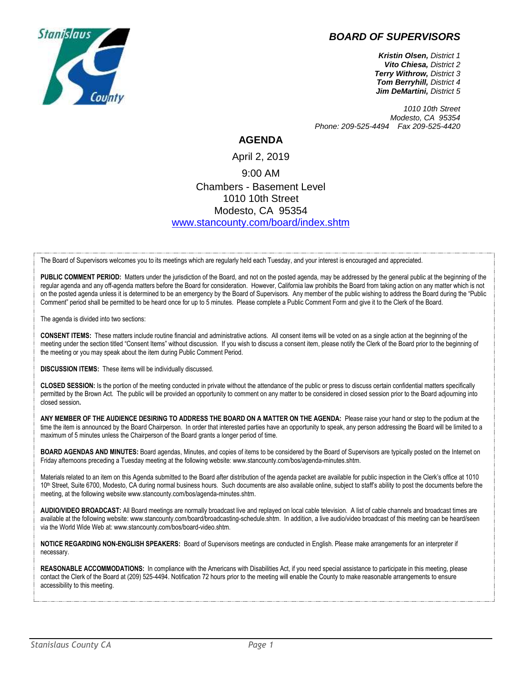



*Kristin Olsen, District 1 Vito Chiesa, District 2 Terry Withrow, District 3 Tom Berryhill, District 4 Jim DeMartini, District 5*

*1010 10th Street Modesto, CA 95354 Phone: 209-525-4494 Fax 209-525-4420*

## **AGENDA**

## April 2, 2019 9:00 AM Chambers - Basement Level 1010 10th Street Modesto, CA 95354 [www.stancounty.com/board/index.shtm](http://www.stancounty.com/board/index.shtm)

The Board of Supervisors welcomes you to its meetings which are regularly held each Tuesday, and your interest is encouraged and appreciated.

PUBLIC COMMENT PERIOD: Matters under the jurisdiction of the Board, and not on the posted agenda, may be addressed by the general public at the beginning of the regular agenda and any off-agenda matters before the Board for consideration. However, California law prohibits the Board from taking action on any matter which is not on the posted agenda unless it is determined to be an emergency by the Board of Supervisors. Any member of the public wishing to address the Board during the "Public Comment" period shall be permitted to be heard once for up to 5 minutes. Please complete a Public Comment Form and give it to the Clerk of the Board.

The agenda is divided into two sections:

**CONSENT ITEMS:** These matters include routine financial and administrative actions. All consent items will be voted on as a single action at the beginning of the meeting under the section titled "Consent Items" without discussion. If you wish to discuss a consent item, please notify the Clerk of the Board prior to the beginning of the meeting or you may speak about the item during Public Comment Period.

**DISCUSSION ITEMS:** These items will be individually discussed.

**CLOSED SESSION:** Is the portion of the meeting conducted in private without the attendance of the public or press to discuss certain confidential matters specifically permitted by the Brown Act. The public will be provided an opportunity to comment on any matter to be considered in closed session prior to the Board adjourning into closed session**.**

**ANY MEMBER OF THE AUDIENCE DESIRING TO ADDRESS THE BOARD ON A MATTER ON THE AGENDA:** Please raise your hand or step to the podium at the time the item is announced by the Board Chairperson. In order that interested parties have an opportunity to speak, any person addressing the Board will be limited to a maximum of 5 minutes unless the Chairperson of the Board grants a longer period of time.

**BOARD AGENDAS AND MINUTES:** Board agendas, Minutes, and copies of items to be considered by the Board of Supervisors are typically posted on the Internet on Friday afternoons preceding a Tuesday meeting at the following website: www.stancounty.com/bos/agenda-minutes.shtm.

Materials related to an item on this Agenda submitted to the Board after distribution of the agenda packet are available for public inspection in the Clerk's office at 1010 10<sup>th</sup> Street, Suite 6700, Modesto, CA during normal business hours. Such documents are also available online, subject to staff's ability to post the documents before the meeting, at the following website www.stancounty.com/bos/agenda-minutes.shtm.

**AUDIO/VIDEO BROADCAST:** All Board meetings are normally broadcast live and replayed on local cable television. A list of cable channels and broadcast times are available at the following website: www.stancounty.com/board/broadcasting-schedule.shtm. In addition, a live audio/video broadcast of this meeting can be heard/seen via the World Wide Web at: www.stancounty.com/bos/board-video.shtm.

**NOTICE REGARDING NON-ENGLISH SPEAKERS:** Board of Supervisors meetings are conducted in English. Please make arrangements for an interpreter if necessary.

**REASONABLE ACCOMMODATIONS:** In compliance with the Americans with Disabilities Act, if you need special assistance to participate in this meeting, please contact the Clerk of the Board at (209) 525-4494. Notification 72 hours prior to the meeting will enable the County to make reasonable arrangements to ensure accessibility to this meeting.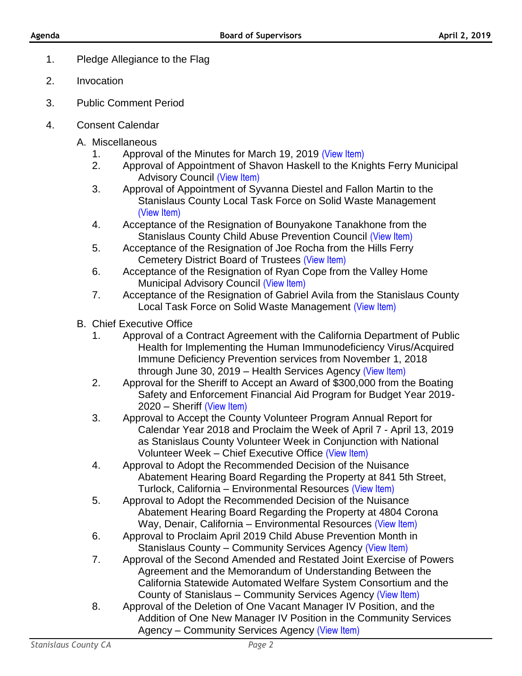- 1. Pledge Allegiance to the Flag
- 2. Invocation
- 3. Public Comment Period
- 4. Consent Calendar
	- A. Miscellaneous
		- 1. Approval of the Minutes for March 19, 2019 [\(View Item\)](http://stancounty.com/bos/minutes/2019/min03-19-19.pdf)
		- 2. Approval of Appointment of Shavon Haskell to the Knights Ferry Municipal Advisory Council [\(View Item\)](http://stancounty.com/bos/agenda/2019/20190402/A02.pdf)
		- 3. Approval of Appointment of Syvanna Diestel and Fallon Martin to the Stanislaus County Local Task Force on Solid Waste Management [\(View Item\)](http://stancounty.com/bos/agenda/2019/20190402/A03.pdf)
		- 4. Acceptance of the Resignation of Bounyakone Tanakhone from the Stanislaus County Child Abuse Prevention Council [\(View Item\)](http://stancounty.com/bos/agenda/2019/20190402/A04.pdf)
		- 5. Acceptance of the Resignation of Joe Rocha from the Hills Ferry Cemetery District Board of Trustees [\(View Item\)](http://stancounty.com/bos/agenda/2019/20190402/A05.pdf)
		- 6. Acceptance of the Resignation of Ryan Cope from the Valley Home Municipal Advisory Council [\(View Item\)](http://stancounty.com/bos/agenda/2019/20190402/A06.pdf)
		- 7. Acceptance of the Resignation of Gabriel Avila from the Stanislaus County Local Task Force on Solid Waste Management [\(View Item\)](http://stancounty.com/bos/agenda/2019/20190402/A07.pdf)
	- B. Chief Executive Office
		- 1. Approval of a Contract Agreement with the California Department of Public Health for Implementing the Human Immunodeficiency Virus/Acquired Immune Deficiency Prevention services from November 1, 2018 through June 30, 2019 – Health Services Agency [\(View Item\)](http://stancounty.com/bos/agenda/2019/20190402/B01.pdf)
		- 2. Approval for the Sheriff to Accept an Award of \$300,000 from the Boating Safety and Enforcement Financial Aid Program for Budget Year 2019- 2020 – Sheriff [\(View Item\)](http://stancounty.com/bos/agenda/2019/20190402/B02.pdf)
		- 3. Approval to Accept the County Volunteer Program Annual Report for Calendar Year 2018 and Proclaim the Week of April 7 - April 13, 2019 as Stanislaus County Volunteer Week in Conjunction with National Volunteer Week – Chief Executive Office [\(View Item\)](http://stancounty.com/bos/agenda/2019/20190402/B03.pdf)
		- 4. Approval to Adopt the Recommended Decision of the Nuisance Abatement Hearing Board Regarding the Property at 841 5th Street, Turlock, California – Environmental Resources [\(View Item\)](http://stancounty.com/bos/agenda/2019/20190402/B04.pdf)
		- 5. Approval to Adopt the Recommended Decision of the Nuisance Abatement Hearing Board Regarding the Property at 4804 Corona Way, Denair, California – Environmental Resources [\(View Item\)](http://stancounty.com/bos/agenda/2019/20190402/B05.pdf)
		- 6. Approval to Proclaim April 2019 Child Abuse Prevention Month in Stanislaus County – Community Services Agency [\(View Item\)](http://stancounty.com/bos/agenda/2019/20190402/B06.pdf)
		- 7. Approval of the Second Amended and Restated Joint Exercise of Powers Agreement and the Memorandum of Understanding Between the California Statewide Automated Welfare System Consortium and the County of Stanislaus – Community Services Agency [\(View Item\)](http://stancounty.com/bos/agenda/2019/20190402/B07.pdf)
		- 8. Approval of the Deletion of One Vacant Manager IV Position, and the Addition of One New Manager IV Position in the Community Services Agency – Community Services Agency [\(View Item\)](http://stancounty.com/bos/agenda/2019/20190402/B08.pdf)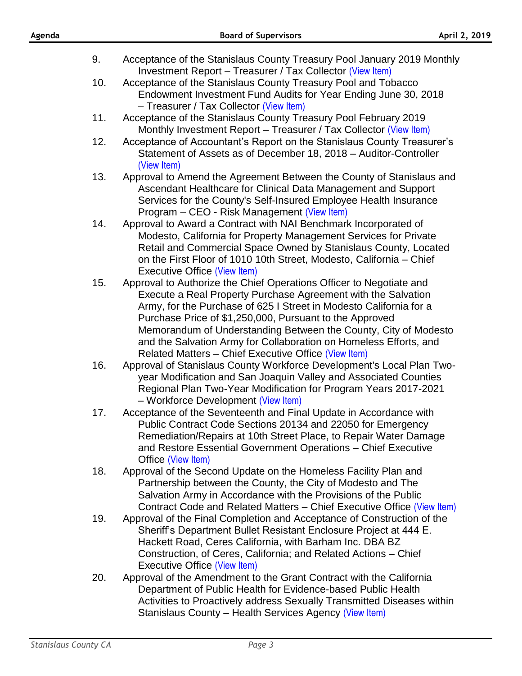| 9.  | Acceptance of the Stanislaus County Treasury Pool January 2019 Monthly                                                                                                                                                                                                                                                                                                                                                                                                |
|-----|-----------------------------------------------------------------------------------------------------------------------------------------------------------------------------------------------------------------------------------------------------------------------------------------------------------------------------------------------------------------------------------------------------------------------------------------------------------------------|
| 10. | Investment Report - Treasurer / Tax Collector (View Item)<br>Acceptance of the Stanislaus County Treasury Pool and Tobacco<br>Endowment Investment Fund Audits for Year Ending June 30, 2018<br>- Treasurer / Tax Collector (View Item)                                                                                                                                                                                                                               |
| 11. | Acceptance of the Stanislaus County Treasury Pool February 2019<br>Monthly Investment Report - Treasurer / Tax Collector (View Item)                                                                                                                                                                                                                                                                                                                                  |
| 12. | Acceptance of Accountant's Report on the Stanislaus County Treasurer's<br>Statement of Assets as of December 18, 2018 – Auditor-Controller<br>(View Item)                                                                                                                                                                                                                                                                                                             |
| 13. | Approval to Amend the Agreement Between the County of Stanislaus and<br>Ascendant Healthcare for Clinical Data Management and Support<br>Services for the County's Self-Insured Employee Health Insurance<br>Program – CEO - Risk Management (View Item)                                                                                                                                                                                                              |
| 14. | Approval to Award a Contract with NAI Benchmark Incorporated of<br>Modesto, California for Property Management Services for Private<br>Retail and Commercial Space Owned by Stanislaus County, Located<br>on the First Floor of 1010 10th Street, Modesto, California - Chief<br>Executive Office (View Item)                                                                                                                                                         |
| 15. | Approval to Authorize the Chief Operations Officer to Negotiate and<br>Execute a Real Property Purchase Agreement with the Salvation<br>Army, for the Purchase of 625 I Street in Modesto California for a<br>Purchase Price of \$1,250,000, Pursuant to the Approved<br>Memorandum of Understanding Between the County, City of Modesto<br>and the Salvation Army for Collaboration on Homeless Efforts, and<br>Related Matters - Chief Executive Office (View Item) |
| 16. | Approval of Stanislaus County Workforce Development's Local Plan Two-<br>year Modification and San Joaquin Valley and Associated Counties<br>Regional Plan Two-Year Modification for Program Years 2017-2021<br>- Workforce Development (View Item)                                                                                                                                                                                                                   |
| 17. | Acceptance of the Seventeenth and Final Update in Accordance with<br>Public Contract Code Sections 20134 and 22050 for Emergency<br>Remediation/Repairs at 10th Street Place, to Repair Water Damage<br>and Restore Essential Government Operations - Chief Executive<br>Office (View Item)                                                                                                                                                                           |
| 18. | Approval of the Second Update on the Homeless Facility Plan and<br>Partnership between the County, the City of Modesto and The<br>Salvation Army in Accordance with the Provisions of the Public<br>Contract Code and Related Matters – Chief Executive Office (View Item)                                                                                                                                                                                            |
| 19. | Approval of the Final Completion and Acceptance of Construction of the<br>Sheriff's Department Bullet Resistant Enclosure Project at 444 E.<br>Hackett Road, Ceres California, with Barham Inc. DBA BZ<br>Construction, of Ceres, California; and Related Actions – Chief<br><b>Executive Office (View Item)</b>                                                                                                                                                      |
| 20. | Approval of the Amendment to the Grant Contract with the California<br>Department of Public Health for Evidence-based Public Health<br>Activities to Proactively address Sexually Transmitted Diseases within<br>Stanislaus County - Health Services Agency (View Item)                                                                                                                                                                                               |

**Agenda Board of Supervisors April 2, 2019**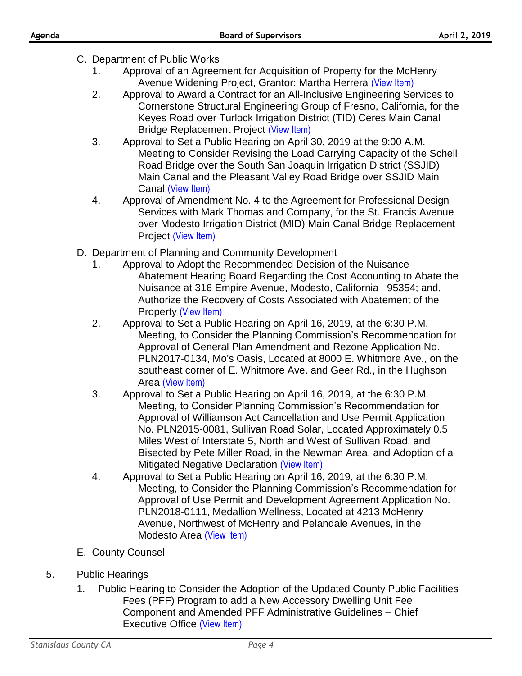- C. Department of Public Works
	- 1. Approval of an Agreement for Acquisition of Property for the McHenry Avenue Widening Project, Grantor: Martha Herrera [\(View Item\)](http://stancounty.com/bos/agenda/2019/20190402/C01.pdf)
	- 2. Approval to Award a Contract for an All-Inclusive Engineering Services to Cornerstone Structural Engineering Group of Fresno, California, for the Keyes Road over Turlock Irrigation District (TID) Ceres Main Canal **Bridge Replacement Project [\(View Item\)](http://stancounty.com/bos/agenda/2019/20190402/C02.pdf)**
	- 3. Approval to Set a Public Hearing on April 30, 2019 at the 9:00 A.M. Meeting to Consider Revising the Load Carrying Capacity of the Schell Road Bridge over the South San Joaquin Irrigation District (SSJID) Main Canal and the Pleasant Valley Road Bridge over SSJID Main Canal [\(View Item\)](http://stancounty.com/bos/agenda/2019/20190402/C03.pdf)
	- 4. Approval of Amendment No. 4 to the Agreement for Professional Design Services with Mark Thomas and Company, for the St. Francis Avenue over Modesto Irrigation District (MID) Main Canal Bridge Replacement Project [\(View Item\)](http://stancounty.com/bos/agenda/2019/20190402/C04.pdf)
- D. Department of Planning and Community Development
	- 1. Approval to Adopt the Recommended Decision of the Nuisance Abatement Hearing Board Regarding the Cost Accounting to Abate the Nuisance at 316 Empire Avenue, Modesto, California 95354; and, Authorize the Recovery of Costs Associated with Abatement of the Property [\(View Item\)](http://stancounty.com/bos/agenda/2019/20190402/D01.pdf)
	- 2. Approval to Set a Public Hearing on April 16, 2019, at the 6:30 P.M. Meeting, to Consider the Planning Commission's Recommendation for Approval of General Plan Amendment and Rezone Application No. PLN2017-0134, Mo's Oasis, Located at 8000 E. Whitmore Ave., on the southeast corner of E. Whitmore Ave. and Geer Rd., in the Hughson Area [\(View Item\)](http://stancounty.com/bos/agenda/2019/20190402/D02.pdf)
	- 3. Approval to Set a Public Hearing on April 16, 2019, at the 6:30 P.M. Meeting, to Consider Planning Commission's Recommendation for Approval of Williamson Act Cancellation and Use Permit Application No. PLN2015-0081, Sullivan Road Solar, Located Approximately 0.5 Miles West of Interstate 5, North and West of Sullivan Road, and Bisected by Pete Miller Road, in the Newman Area, and Adoption of a Mitigated Negative Declaration [\(View Item\)](http://stancounty.com/bos/agenda/2019/20190402/D03.pdf)
	- 4. Approval to Set a Public Hearing on April 16, 2019, at the 6:30 P.M. Meeting, to Consider the Planning Commission's Recommendation for Approval of Use Permit and Development Agreement Application No. PLN2018-0111, Medallion Wellness, Located at 4213 McHenry Avenue, Northwest of McHenry and Pelandale Avenues, in the Modesto Area [\(View Item\)](http://stancounty.com/bos/agenda/2019/20190402/D04.pdf)
- E. County Counsel
- 5. Public Hearings
	- 1. Public Hearing to Consider the Adoption of the Updated County Public Facilities Fees (PFF) Program to add a New Accessory Dwelling Unit Fee Component and Amended PFF Administrative Guidelines – Chief Executive Office [\(View Item\)](http://stancounty.com/bos/agenda/2019/20190402/PH01.pdf)